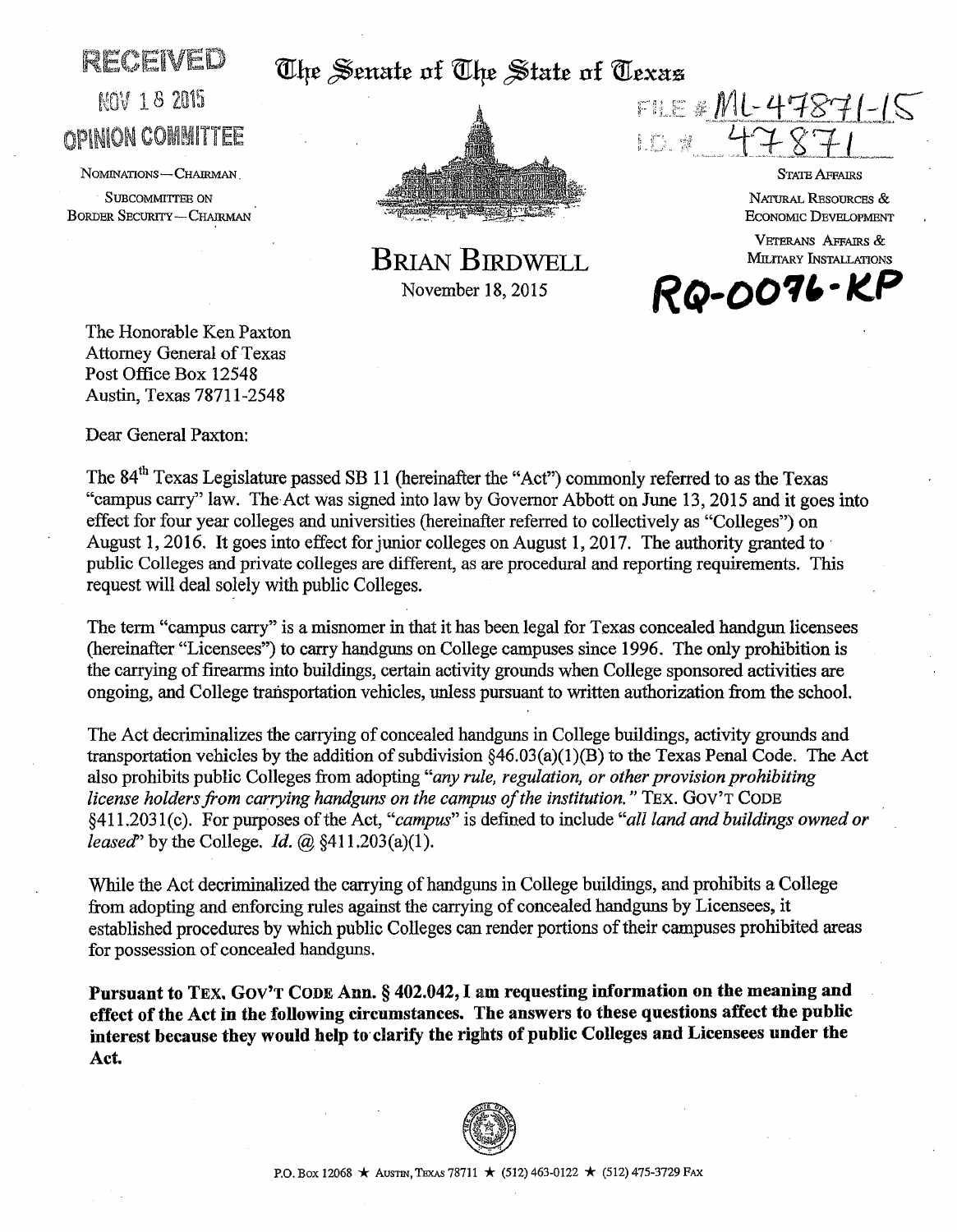# $RECE(VED ~$  The Senate of The State of Texas.



FILE # ML-4787 l. i") si

STATE AFFAIRS

NATURAL RESOURCES & ECONOMIC DEVELOPMENT

VETERANS AFFAIRS & MILITARY INSTALLATIONS *RQ-OO'll,·/lP* 

BRIAN BIRDWELL November 18, 2015

**MOV 18 2015 OPINION COMMITTEE** 

NOMINATIONS-CHAIRMAN.

SUBCOMMITTEE ON BORDER SECURITY-CHAIRMAN

The Honorable Ken Paxton Attorney General of Texas Post Office Box 12548 Austin, Texas 78711-2548

Dear General Paxton:

The 84<sup>th</sup> Texas Legislature passed SB 11 (hereinafter the "Act") commonly referred to as the Texas "campus carry" law. The Act was signed into law by Governor Abbott on June 13, 2015 and it goes into effect for four year colleges and universities (hereinafter referred to collectively as "Colleges") on August 1, 2016. It goes into effect for junior colleges on August 1, 2017. The authority granted to public Colleges and private colleges are different, as are procedural and reporting requirements. This request will deal solely with public Colleges.

The term "campus carry" is a misnomer in that it has been legal for Texas concealed handgun licensees (hereinafter "Licensees") to carry handguns on College campuses since 1996. The only prohibition is the carrying of firearms into buildings, certain activity grounds when College sponsored activities are ongoing, and College transportation vehicles, unless pursuant to written authorization from the school.

The Act decriminalizes the carrying of concealed handguns in College buildings, activity grounds and transportation vehicles by the addition of subdivision  $\S46.03(a)(1)(B)$  to the Texas Penal Code. The Act also prohibits public Colleges from adopting *"any rule, regulation, or other provision prohibiting license holders from carrying handguns on the campus of the institution.*" TEX. GOV'T CODE §411.203 l(c). For purposes of the Act, *"campus"* is defined to include *"all land and buildings owned or leased*" by the College. *Id.* @ §411.203(a)(1).

While the Act decriminalized the carrying of handguns in College buildings, and prohibits a College from adopting and enforcing rules against the carrying of concealed handguns by Licensees, it established procedures by which public Colleges can render portions of their campuses prohibited areas for possession of concealed handguns.

Pursuant to TEX. Gov'T CODE Ann. § 402.042, I am requesting information on the meaning and effect of the Act in the following circumstances. The answers to these questions affect the public interest because they would help to clarify the rights of public Colleges and Licensees under the Act.

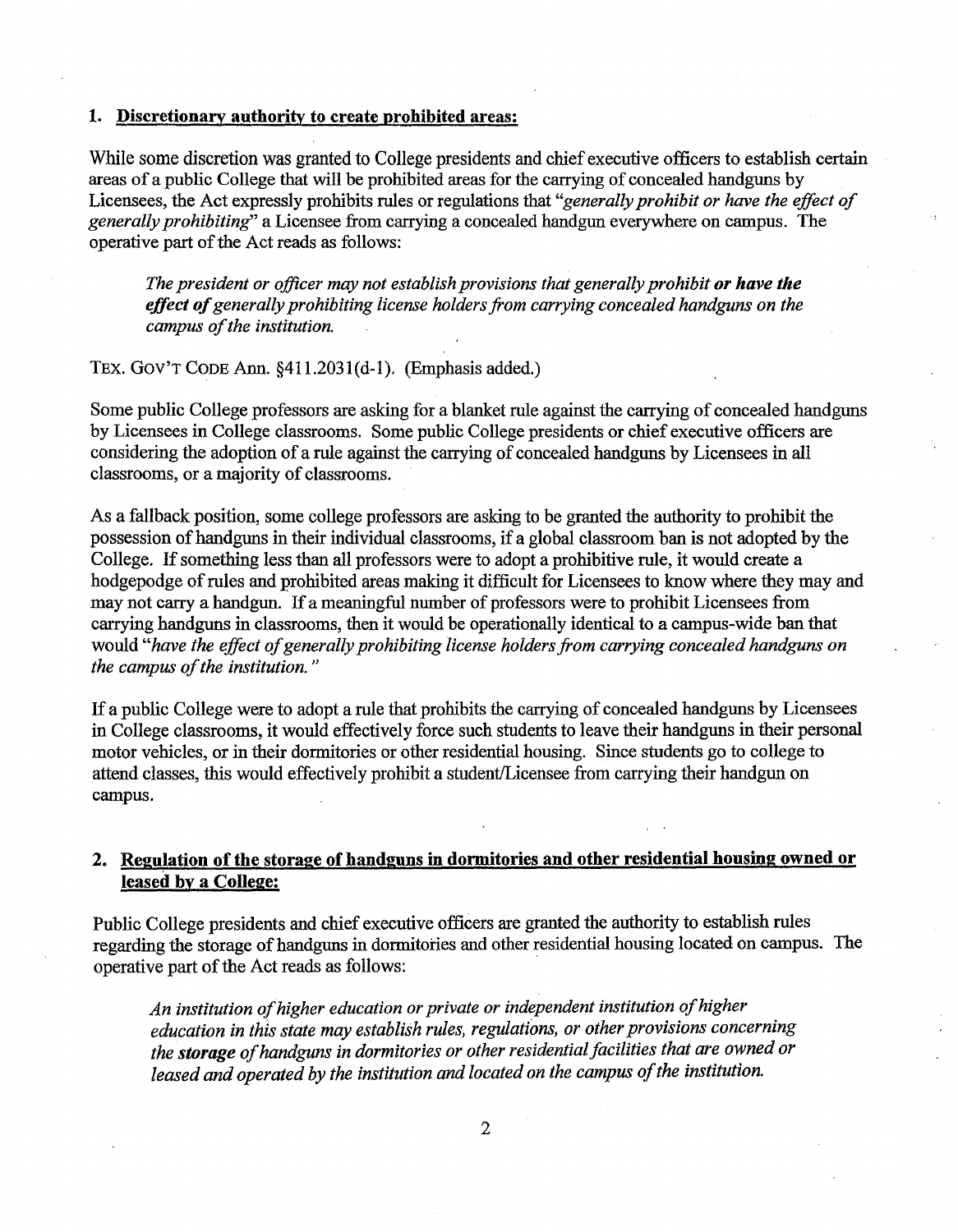## 1. Discretionary authority to create prohibited areas:

While some discretion was granted to College presidents and chief executive officers to establish certain areas of a public College that will be prohibited areas for the carrying of concealed handguns by Licensees, the Act expressly prohibits rules or regulations that *"generally prohibit or have the effect of generally prohibiting"* a Licensee from carrying a concealed handgun everywhere on campus. The operative part of the Act reads as follows:

*The president or officer may not establish provisions that generally prohibit or have the effect of generally prohibiting license holders from carrying concealed handguns on the campus of the institution.* 

TEX. Gov'T CODE Ann. §411.203l(d-1). (Emphasis added.)

Some public College professors are asking for a blanket rule against the carrying of concealed handguns by Licensees in College classrooms. Some public College presidents or chief executive officers are considering the adoption of a rule against the carrying of concealed handguns by Licensees in all classrooms, or a majority of classrooms.

As a fallback position, some college professors are asking to be granted the authority to prohibit the possession of handguns in their individual classrooms, if a global classroom ban is not adopted by the College. If something less than all professors were to adopt a prohibitive rule, it would create a hodgepodge of rules and prohibited areas making it difficult for Licensees to know where they may and may not carry a handgun. If a meaningful number of professors were to prohibit Licensees from carrying handguns in classrooms, then it would be operationally identical to a campus-wide ban that would *"have the effect of generally prohibiting license holders from carrying concealed handguns on the campus of the institution.* "

If a public College were to adopt a rule that prohibits the carrying of concealed handguns by Licensees in College classrooms, it would effectively force such students to leave their handguns in their personal motor vehicles, or in their dormitories or other residential housing. Since students go to college to attend classes, this would effectively prohibit a student/Licensee from carrying their handgun on campus.

# 2. Regulation of the storage of handguns in dormitories and other residential housing owned or leased by a College:

Public College presidents and chief executive officers are granted the authority to establish rules regarding the storage of handguns in dormitories and other residential housing located on campus. The operative part of the Act reads as follows:

*An institution of higher education or private or independent institution of higher education in this state may establish rules, regulations, or other provisions concerning the storage of handguns in dormitories or other residential facilities that are owned or leased and operated by the institution and located on the campus of the institution.*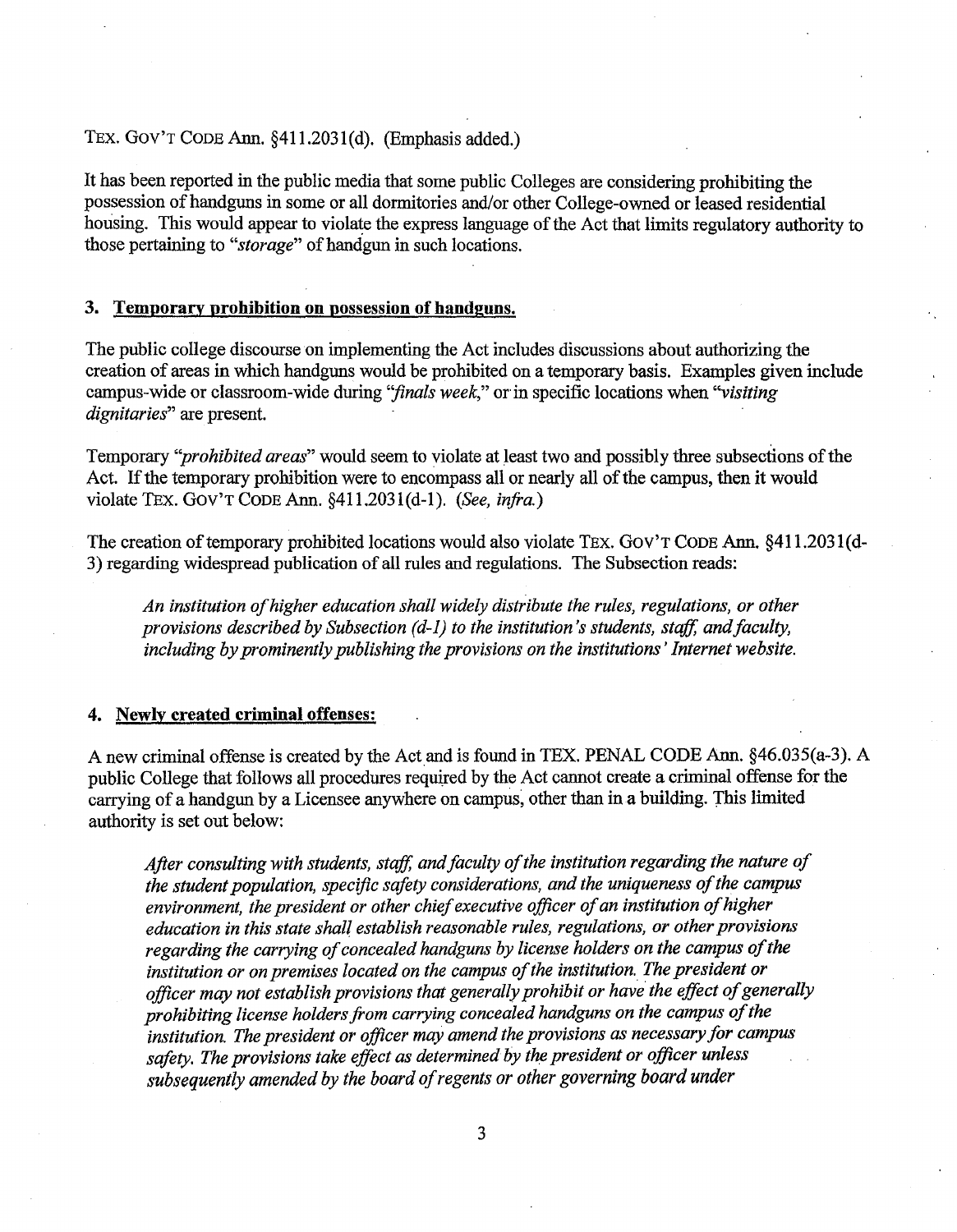## TEX. Gov'T CODE Ann. §411.2031(d). (Emphasis added.)

It has been reported in the public media that some public Colleges are considering prohibiting the possession of handguns in some or all dormitories and/or other College-owned or leased residential housing. This would appear to violate the express language of the Act that limits regulatory authority to those pertaining to *"storage"* of handgun in such locations.

#### 3. Temporary prohibition on possession of handguns.

The public college discourse on implementing the Act includes discussions about authorizing the creation of areas in which handguns would be prohibited on a temporary basis. Examples given include campus-wide or classroom-wide during "finals week," or in specific locations when "visiting *dignitaries*" are present.

Temporary *''prohibited areas"* would seem to violate at least two and possibly three subsections of the Act. If the temporary prohibition were to encompass all or nearly all of the campus, then it would violate TEX. Gov'T CODE Ann. §411.203l(d-1). *(See, infra.)* 

The creation of temporary prohibited locations would also violate TEX. GOV'T CODE Ann. §411.2031(d-3) regarding widespread publication of all rules and regulations. The Subsection reads:

*An institution of higher education shall widely distribute the rules, regulations, or other provisions described by Subsection (d-1) to the institution's students, staff, and faculty, including by prominently publishing the provisions on the institutions* ' *Internet website.* 

#### 4. Newly created criminal offenses:

A new criminal offense is created by the Act and is found in TEX. PENAL CODE Ann. §46.035(a-3). A public College that follows all procedures required by the Act cannot create a criminal offense for the carrying of a handgun by a Licensee anywhere on campus, other than in a building. This limited authority is set out below:

*After consulting with students, staff, and faculty of the institution regarding the nature of the student population, specific safety considerations, and the uniqueness of the campus environment, the president or other chief executive officer of an institution of higher education in this state shall establish reasonable rules, regulations, or other provisions regarding the carrying of concealed handguns by license holders on the campus of the*  institution or on premises located on the campus of the institution. The president or *officer may not establish provisions that generally prohibit or have· the effect of generally prohibiting license holders from carrying concealed handguns on the campus of the institution. The president or officer may amend the provisions as necessary for campus*  safety. The provisions take effect as determined by the president or officer unless *subsequently amended by the board of regents or other governing board under*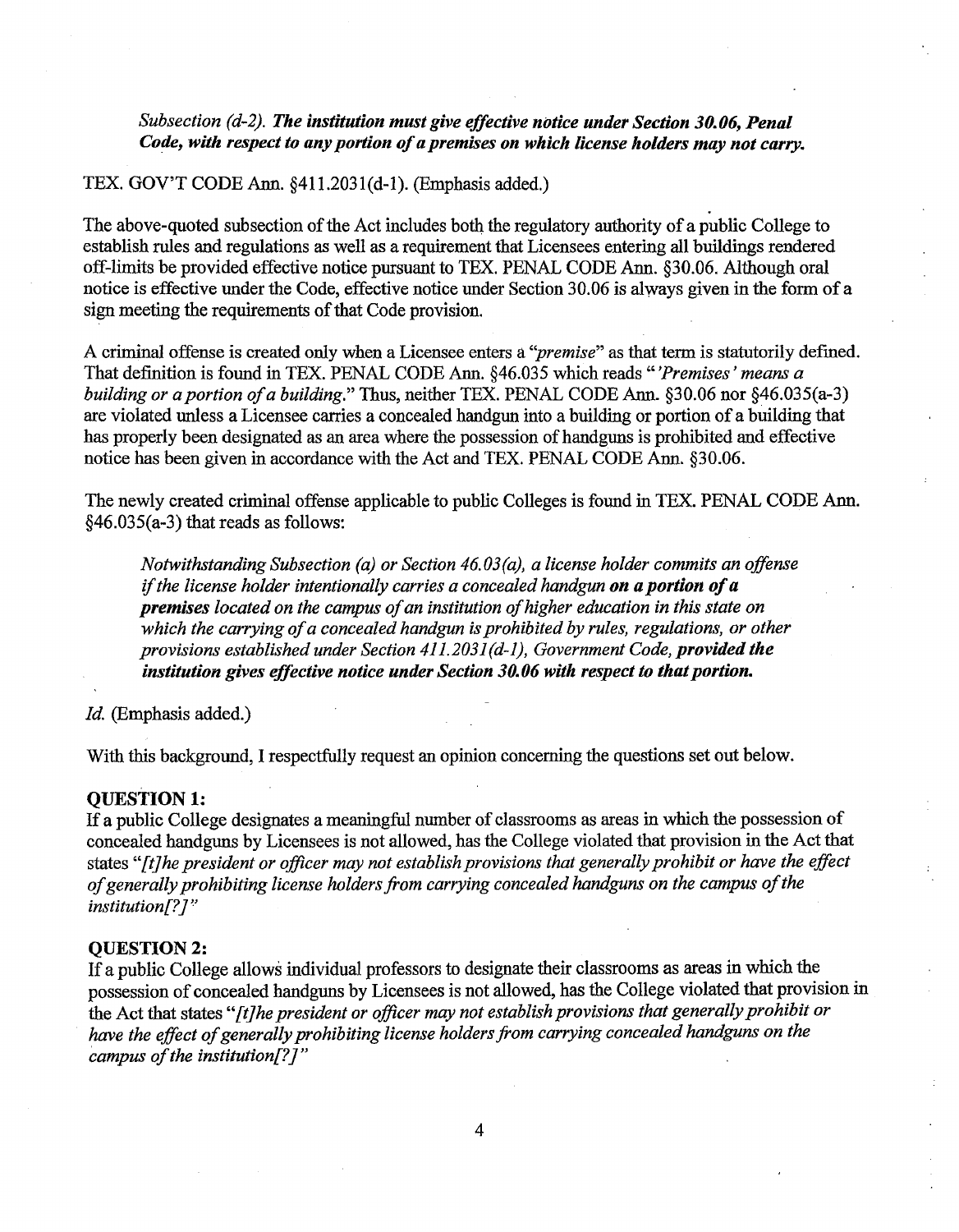# *Subsection (d-2). The institution must give effective notice under Section 30.06, Penal Code, with respect to any portion of a premises on which license holders may not carry.*

# TEX. GOV'T CODE Ann. §411.2031(d-1). (Emphasis added.)

The above-quoted subsection of the Act includes both the regulatory authority of a public College to establish rules and regulations as well as a requirement that Licensees entering all buildings rendered off-limits be provided effective notice pursuant to TEX. PENAL CODE Ann. §30.06. Although oral notice is effective under the Code, effective notice under Section 30.06 is always given in the form of a sign meeting the requirements of that Code provision.

A criminal offense is created only when a Licensee enters a *''premise"* as that term is statutorily defined. That definition is found in TEX. PENAL CODE Ann. §46.035 which reads *"'Premises' means a building or a portion of a building."* Thus, neither TEX. PENAL CODE Ann. §30.06 nor §46.035(a-3) are violated unless a Licensee carries a concealed handgun into a building or portion of a building that has properly been designated as an area where the possession of handguns is prohibited and effective notice has been given in accordance with the Act and TEX. PENAL CODE Ann. §30.06.

The newly created criminal offense applicable to public Colleges is found in TEX. PENAL CODE Ann. §46.035(a-3) that reads as follows:

*Notwithstanding Subsection (a) or Section 46.03(a), a license holder commits an offense*  if *the license holder intentionally carries a concealed handgun on a portion of a premises located on the campus of an institution of higher education in this state on which the carrying of a concealed handgun is prohibited by rules, regulations, or other provisions established under Section 411.2031 (d-1), Government Code, provided the institution gives effective notice under Section 30.06 with respect to that portion.* 

*Id.* (Emphasis added.)

With this background, I respectfully request an opinion concerning the questions set out below.

# QUESTION 1:

If a public College designates a meaningful number of classrooms as areas in which the possession of concealed handguns by Licensees is not allowed, has the College violated that provision in the Act that states *"[t]he president or officer may not establish provisions that generally prohibit or have the effect of generally prohibiting license holders from carrying concealed handguns on the campus of the institution[?]"* 

#### **OUESTION 2:**

If a public College allows individual professors to designate their classrooms as areas in which the possession of concealed handguns by Licensees is not allowed, has the College violated that provision in the Act that states *"[t]he president or officer may not establish provisions that generally prohibit or have the effect of generally prohibiting license holders from carrying concealed handguns on the campus of the institution[?]"*